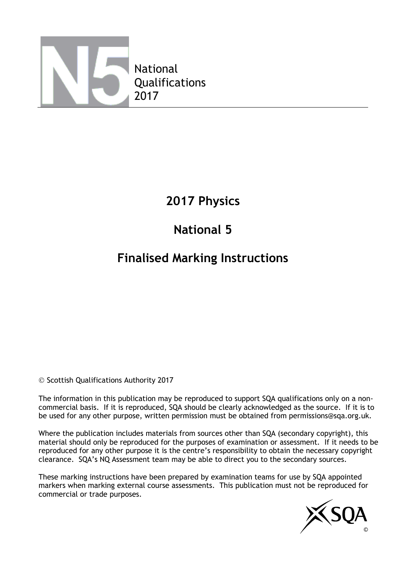

## **2017 Physics**

# **National 5**

## **Finalised Marking Instructions**

© Scottish Qualifications Authority 2017

The information in this publication may be reproduced to support SQA qualifications only on a noncommercial basis. If it is reproduced, SQA should be clearly acknowledged as the source. If it is to be used for any other purpose, written permission must be obtained from permissions@sqa.org.uk.

Where the publication includes materials from sources other than SQA (secondary copyright), this material should only be reproduced for the purposes of examination or assessment. If it needs to be reproduced for any other purpose it is the centre's responsibility to obtain the necessary copyright clearance. SQA's NQ Assessment team may be able to direct you to the secondary sources.

These marking instructions have been prepared by examination teams for use by SQA appointed markers when marking external course assessments. This publication must not be reproduced for commercial or trade purposes.

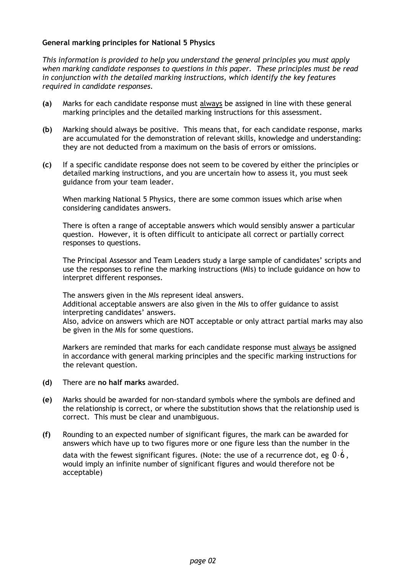#### **General marking principles for National 5 Physics**

*This information is provided to help you understand the general principles you must apply when marking candidate responses to questions in this paper. These principles must be read in conjunction with the detailed marking instructions, which identify the key features required in candidate responses.*

- **(a)** Marks for each candidate response must always be assigned in line with these general marking principles and the detailed marking instructions for this assessment.
- **(b)** Marking should always be positive. This means that, for each candidate response, marks are accumulated for the demonstration of relevant skills, knowledge and understanding: they are not deducted from a maximum on the basis of errors or omissions.
- **(c)** If a specific candidate response does not seem to be covered by either the principles or detailed marking instructions, and you are uncertain how to assess it, you must seek guidance from your team leader.

When marking National 5 Physics, there are some common issues which arise when considering candidates answers.

There is often a range of acceptable answers which would sensibly answer a particular question. However, it is often difficult to anticipate all correct or partially correct responses to questions.

The Principal Assessor and Team Leaders study a large sample of candidates' scripts and use the responses to refine the marking instructions (MIs) to include guidance on how to interpret different responses.

The answers given in the MIs represent ideal answers.

Additional acceptable answers are also given in the MIs to offer guidance to assist interpreting candidates' answers.

Also, advice on answers which are NOT acceptable or only attract partial marks may also be given in the MIs for some questions.

Markers are reminded that marks for each candidate response must always be assigned in accordance with general marking principles and the specific marking instructions for the relevant question.

- **(d)** There are **no half marks** awarded.
- **(e)** Marks should be awarded for non-standard symbols where the symbols are defined and the relationship is correct, or where the substitution shows that the relationship used is correct. This must be clear and unambiguous.
- **(f)** Rounding to an expected number of significant figures, the mark can be awarded for answers which have up to two figures more or one figure less than the number in the

data with the fewest significant figures. (Note: the use of a recurrence dot, eg  $0.6$ , would imply an infinite number of significant figures and would therefore not be acceptable)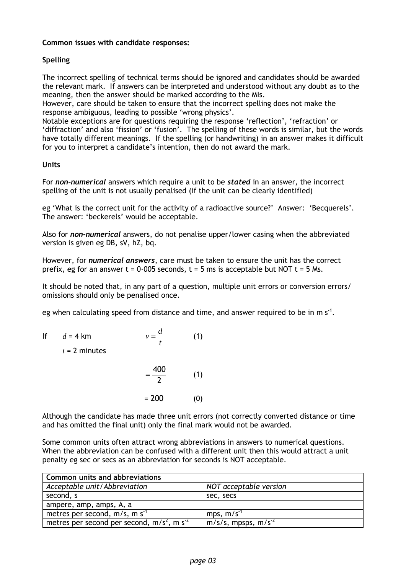#### **Common issues with candidate responses:**

#### **Spelling**

The incorrect spelling of technical terms should be ignored and candidates should be awarded the relevant mark. If answers can be interpreted and understood without any doubt as to the meaning, then the answer should be marked according to the MIs.

However, care should be taken to ensure that the incorrect spelling does not make the response ambiguous, leading to possible 'wrong physics'.

Notable exceptions are for questions requiring the response 'reflection', 'refraction' or 'diffraction' and also 'fission' or 'fusion'. The spelling of these words is similar, but the words have totally different meanings. If the spelling (or handwriting) in an answer makes it difficult for you to interpret a candidate's intention, then do not award the mark.

#### **Units**

For *non-numerical* answers which require a unit to be *stated* in an answer, the incorrect spelling of the unit is not usually penalised (if the unit can be clearly identified)

eg 'What is the correct unit for the activity of a radioactive source?' Answer: 'Becquerels'. The answer: 'beckerels' would be acceptable.

Also for *non-numerical* answers, do not penalise upper/lower casing when the abbreviated version is given eg DB, sV, hZ, bq.

However, for *numerical answers*, care must be taken to ensure the unit has the correct prefix, eg for an answer  $t = 0.005$  seconds,  $t = 5$  ms is acceptable but NOT  $t = 5$  Ms.

It should be noted that, in any part of a question, multiple unit errors or conversion errors/ omissions should only be penalised once.

eg when calculating speed from distance and time, and answer required to be in m s<sup>-1</sup>.

| lf | $d = 4$ km<br>$t = 2$ minutes | ν       | (1) |
|----|-------------------------------|---------|-----|
|    |                               | 400     | (1) |
|    |                               | $= 200$ |     |

Although the candidate has made three unit errors (not correctly converted distance or time and has omitted the final unit) only the final mark would not be awarded.

Some common units often attract wrong abbreviations in answers to numerical questions. When the abbreviation can be confused with a different unit then this would attract a unit penalty eg sec or secs as an abbreviation for seconds is NOT acceptable.

| <b>Common units and abbreviations</b>                    |                                 |  |  |  |  |  |
|----------------------------------------------------------|---------------------------------|--|--|--|--|--|
| Acceptable unit/Abbreviation                             | NOT acceptable version          |  |  |  |  |  |
| second, s                                                | sec, secs                       |  |  |  |  |  |
| ampere, amp, amps, A, a                                  |                                 |  |  |  |  |  |
| metres per second, $m/s$ , m s <sup>-1</sup>             | mps, $m/s^{-1}$                 |  |  |  |  |  |
| metres per second per second, $m/s2$ , m s <sup>-2</sup> | $m/s/s$ , mpsps, m $\sqrt{s^2}$ |  |  |  |  |  |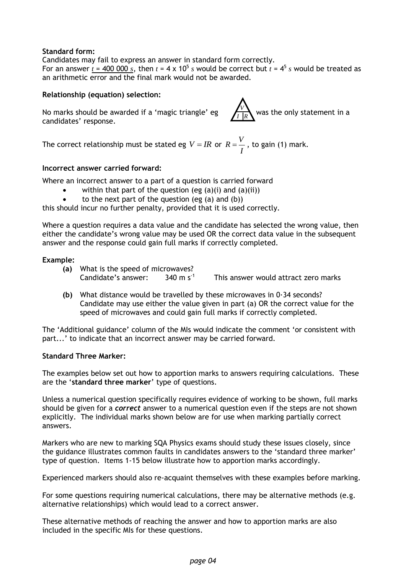#### **Standard form:**

Candidates may fail to express an answer in standard form correctly. For an answer  $t = 400\,000\,s$ , then  $t = 4 \times 10^5\,s$  would be correct but  $t = 4^5\,s$  would be treated as an arithmetic error and the final mark would not be awarded.

#### **Relationship (equation) selection:**

No marks should be awarded if a 'magic triangle' eg  $\left| \int_{I}^{V} \right|_{R}$  was the only statement in a candidates' response.



The correct relationship must be stated eg  $V = IR$  or  $R = \frac{V}{I}$ *I*  $=\frac{V}{r}$ , to gain (1) mark.

#### **Incorrect answer carried forward:**

Where an incorrect answer to a part of a question is carried forward

- within that part of the question (eg  $(a)(i)$  and  $(a)(ii)$ )
- to the next part of the question (eg (a) and (b))

this should incur no further penalty, provided that it is used correctly.

Where a question requires a data value and the candidate has selected the wrong value, then either the candidate's wrong value may be used OR the correct data value in the subsequent answer and the response could gain full marks if correctly completed.

#### **Example:**

**(a)** What is the speed of microwaves?

Candidate's answer:  $340 \text{ m s}^{-1}$  This answer would attract zero marks

**(b)** What distance would be travelled by these microwaves in 0·34 seconds? Candidate may use either the value given in part (a) OR the correct value for the speed of microwaves and could gain full marks if correctly completed.

The 'Additional guidance' column of the MIs would indicate the comment 'or consistent with part...' to indicate that an incorrect answer may be carried forward.

#### **Standard Three Marker:**

The examples below set out how to apportion marks to answers requiring calculations. These are the '**standard three marker**' type of questions.

Unless a numerical question specifically requires evidence of working to be shown, full marks should be given for a *correct* answer to a numerical question even if the steps are not shown explicitly. The individual marks shown below are for use when marking partially correct answers.

Markers who are new to marking SQA Physics exams should study these issues closely, since the guidance illustrates common faults in candidates answers to the 'standard three marker' type of question. Items 1-15 below illustrate how to apportion marks accordingly.

Experienced markers should also re-acquaint themselves with these examples before marking.

For some questions requiring numerical calculations, there may be alternative methods (e.g. alternative relationships) which would lead to a correct answer.

These alternative methods of reaching the answer and how to apportion marks are also included in the specific MIs for these questions.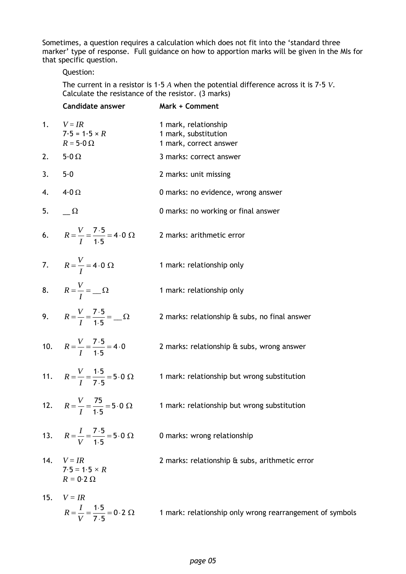Sometimes, a question requires a calculation which does not fit into the 'standard three marker' type of response. Full guidance on how to apportion marks will be given in the MIs for that specific question.

#### Question:

The current in a resistor is 1·5 *A* when the potential difference across it is 7·5 *V*. Calculate the resistance of the resistor. (3 marks)

|        | Candidate answer                                                         | Mark + Comment                                                         |
|--------|--------------------------------------------------------------------------|------------------------------------------------------------------------|
| 1.     | $V = IR$<br>$7.5 = 1.5 \times R$<br>$R = 5.0 \Omega$                     | 1 mark, relationship<br>1 mark, substitution<br>1 mark, correct answer |
|        | 2. $5.0 \Omega$                                                          | 3 marks: correct answer                                                |
| 3. 5.0 |                                                                          | 2 marks: unit missing                                                  |
| 4.     | $4.0 \Omega$                                                             | 0 marks: no evidence, wrong answer                                     |
| 5.     | $\Omega$                                                                 | 0 marks: no working or final answer                                    |
|        | 6. $R = \frac{V}{I} = \frac{7.5}{1.5} = 4.0 \Omega$                      | 2 marks: arithmetic error                                              |
|        | 7. $R = \frac{V}{I} = 4.0 \Omega$                                        | 1 mark: relationship only                                              |
|        | 8. $R = \frac{V}{I} = \Omega$                                            | 1 mark: relationship only                                              |
|        | 9. $R = \frac{V}{I} = \frac{7.5}{1.5} = \frac{\Omega}{I}$                | 2 marks: relationship & subs, no final answer                          |
|        | 10. $R = \frac{V}{I} = \frac{7 \cdot 5}{1 \cdot 5} = 4 \cdot 0$          | 2 marks: relationship & subs, wrong answer                             |
|        | 11. $R = \frac{V}{I} = \frac{1 \cdot 5}{7 \cdot 5} = 5 \cdot 0 \Omega$   | 1 mark: relationship but wrong substitution                            |
|        | 12. $R = \frac{V}{I} = \frac{75}{1.5} = 5.0 \Omega$                      | 1 mark: relationship but wrong substitution                            |
|        | 13. $R = \frac{I}{V} = \frac{7 \cdot 5}{1 \cdot 5} = 5 \cdot 0 \Omega$   | 0 marks: wrong relationship                                            |
| 14.    | $V = IR$<br>$7.5 = 1.5 \times R$<br>$R = 0.2 \Omega$                     | 2 marks: relationship & subs, arithmetic error                         |
| 15.    | $V = IR$<br>$R = \frac{I}{V} = \frac{1 \cdot 5}{7 \cdot 5} = 0.2 \Omega$ | 1 mark: relationship only wrong rearrangement of symbols               |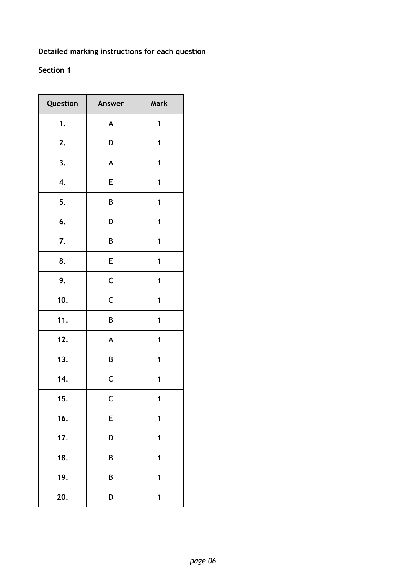### **Detailed marking instructions for each question**

### **Section 1**

| Question | Answer                    | Mark |
|----------|---------------------------|------|
| 1.       | A                         | 1    |
| 2.       | D                         | 1    |
| 3.       | $\boldsymbol{\mathsf{A}}$ | 1    |
| 4.       | E                         | 1    |
| 5.       | B                         | 1    |
| 6.       | D                         | 1    |
| 7.       | B                         | 1    |
| 8.       | E                         | 1    |
| 9.       | $\mathsf C$               | 1    |
| 10.      | $\mathsf C$               | 1    |
| 11.      | B                         | 1    |
| 12.      | A                         | 1    |
| 13.      | B                         | 1    |
| 14.      | $\mathsf C$               | 1    |
| 15       | С                         | 1    |
| 16.      | E                         | 1    |
| 17.      | D                         | 1    |
| 18.      | B                         | 1    |
| 19.      | B                         | 1    |
| 20.      | D                         | 1    |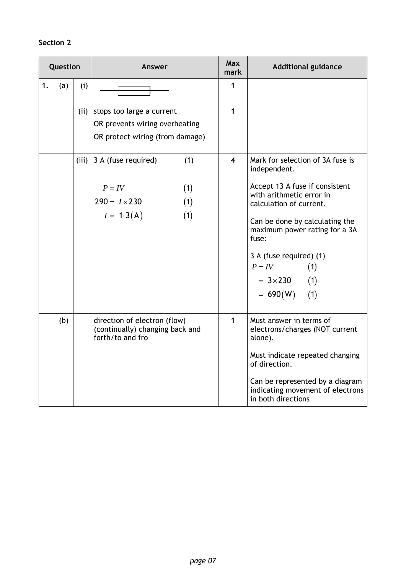### **Section 2**

|    | Question |       | Answer                                                                                              | <b>Max</b><br>mark      | <b>Additional guidance</b>                                                                                                                                                                                                                                                                                    |
|----|----------|-------|-----------------------------------------------------------------------------------------------------|-------------------------|---------------------------------------------------------------------------------------------------------------------------------------------------------------------------------------------------------------------------------------------------------------------------------------------------------------|
| 1. | (a)      | (i)   |                                                                                                     | 1                       |                                                                                                                                                                                                                                                                                                               |
|    |          | (iii) | stops too large a current<br>OR prevents wiring overheating<br>OR protect wiring (from damage)      | $\mathbf{1}$            |                                                                                                                                                                                                                                                                                                               |
|    |          | (iii) | 3 A (fuse required)<br>(1)<br>(1)<br>$P = IV$<br>(1)<br>$290 = I \times 230$<br>$I = 1.3(A)$<br>(1) | $\overline{\mathbf{4}}$ | Mark for selection of 3A fuse is<br>independent.<br>Accept 13 A fuse if consistent<br>with arithmetic error in<br>calculation of current.<br>Can be done by calculating the<br>maximum power rating for a 3A<br>fuse:<br>3 A (fuse required) (1)<br>$P = IV$<br>(1)<br>$= 3 \times 230$ (1)<br>$= 690(W)$ (1) |
|    | (b)      |       | direction of electron (flow)<br>(continually) changing back and<br>forth/to and fro                 | 1                       | Must answer in terms of<br>electrons/charges (NOT current<br>alone).<br>Must indicate repeated changing<br>of direction.<br>Can be represented by a diagram<br>indicating movement of electrons<br>in both directions                                                                                         |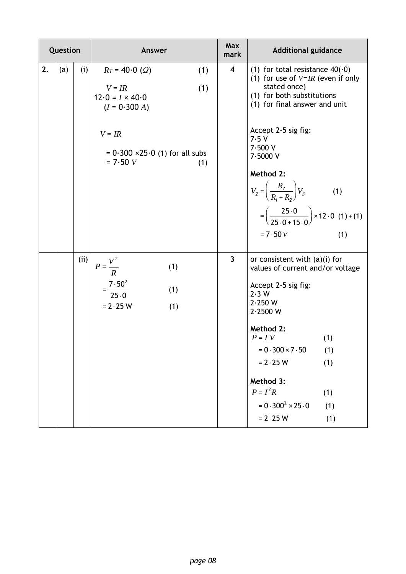|    | Question |      | Answer                                                                                                                                                                      | <b>Max</b><br>mark      | <b>Additional guidance</b>                                                                                                                                                                                                                                                                                                                                            |
|----|----------|------|-----------------------------------------------------------------------------------------------------------------------------------------------------------------------------|-------------------------|-----------------------------------------------------------------------------------------------------------------------------------------------------------------------------------------------------------------------------------------------------------------------------------------------------------------------------------------------------------------------|
| 2. | (a)      | (i)  | $R_T = 40.0$ ( $\Omega$ )<br>(1)<br>(1)<br>$V = IR$<br>$12.0 = I \times 40.0$<br>$(I = 0.300 A)$<br>$V = IR$<br>$= 0.300 \times 25.0$ (1) for all subs<br>$= 7.50 V$<br>(1) | $\overline{\mathbf{4}}$ | (1) for total resistance $40(0)$<br>(1) for use of $V=IR$ (even if only<br>stated once)<br>(1) for both substitutions<br>(1) for final answer and unit<br>Accept 2-5 sig fig:<br>7.5V<br>7.500V<br>7.5000V<br>Method 2:<br>$V_2 = \left(\frac{R_2}{R_1 + R_2}\right) V_s$<br>(1)<br>$=\left(\frac{25.0}{25.0+15.0}\right) \times 12.0$ (1) + (1)<br>$= 7.50 V$<br>(1) |
|    |          | (ii) | $P = \frac{V^2}{R}$<br>(1)<br>$=\frac{7\cdot 50^2}{25\cdot 0}$<br>(1)<br>$= 2.25 W$<br>(1)                                                                                  | 3                       | or consistent with $(a)(i)$ for<br>values of current and/or voltage<br>Accept 2-5 sig fig:<br>2.3 W<br>2.250 W<br>2.2500 W<br>Method 2:<br>$P = IV$<br>(1)<br>$= 0.300 \times 7.50$<br>(1)<br>$= 2.25 W$<br>(1)<br>Method 3:<br>$P = I^2 R$<br>(1)<br>$= 0.300^2 \times 25.0$<br>(1)<br>$= 2.25 W$<br>(1)                                                             |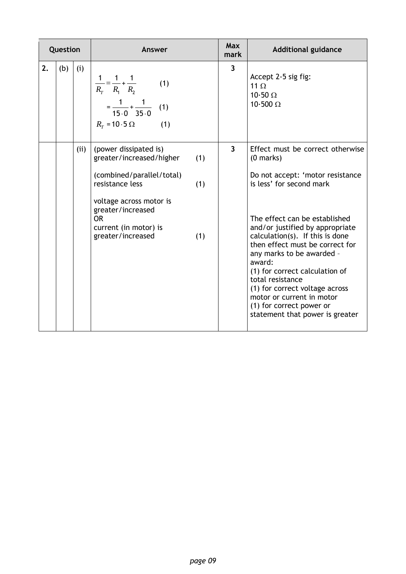| Question |     |     | Answer                                                                                                                                                                                                       |                   | Max<br>mark             | <b>Additional guidance</b>                                                                                                                                                                                                                                                                                                                                                                                                                                                           |
|----------|-----|-----|--------------------------------------------------------------------------------------------------------------------------------------------------------------------------------------------------------------|-------------------|-------------------------|--------------------------------------------------------------------------------------------------------------------------------------------------------------------------------------------------------------------------------------------------------------------------------------------------------------------------------------------------------------------------------------------------------------------------------------------------------------------------------------|
| 2.       | (b) | (i) | $rac{1}{R_T} = \frac{1}{R_1} + \frac{1}{R_2}$<br>(1)<br>$=\frac{1}{15\cdot 0}+\frac{1}{35\cdot 0}$ (1)<br>$R_r = 10.5 \Omega$<br>(1)                                                                         |                   | $\overline{\mathbf{3}}$ | Accept 2-5 sig fig:<br>11 $\Omega$<br>10.50 $\Omega$<br>$10.500 \Omega$                                                                                                                                                                                                                                                                                                                                                                                                              |
|          |     | (i) | (power dissipated is)<br>greater/increased/higher<br>(combined/parallel/total)<br>resistance less<br>voltage across motor is<br>greater/increased<br><b>OR</b><br>current (in motor) is<br>greater/increased | (1)<br>(1)<br>(1) | $\overline{3}$          | Effect must be correct otherwise<br>$(0$ marks)<br>Do not accept: 'motor resistance<br>is less' for second mark<br>The effect can be established<br>and/or justified by appropriate<br>calculation(s). If this is done<br>then effect must be correct for<br>any marks to be awarded -<br>award:<br>(1) for correct calculation of<br>total resistance<br>(1) for correct voltage across<br>motor or current in motor<br>(1) for correct power or<br>statement that power is greater |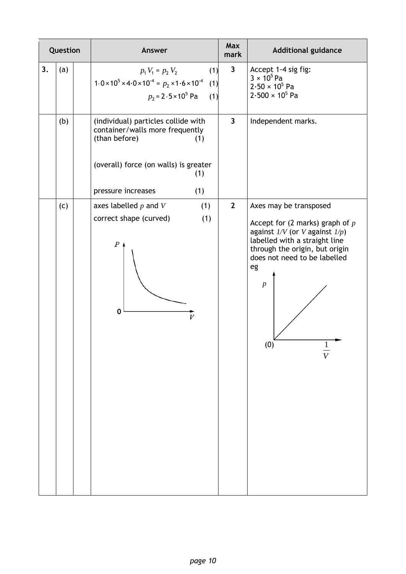| Question |     | Answer                                                                                                                                                                      | Max<br>mark  | <b>Additional guidance</b>                                                                                                                                                                                                                              |
|----------|-----|-----------------------------------------------------------------------------------------------------------------------------------------------------------------------------|--------------|---------------------------------------------------------------------------------------------------------------------------------------------------------------------------------------------------------------------------------------------------------|
| 3.       | (a) | (1)<br>$p_1 V_1 = p_2 V_2$<br>$1.0 \times 10^5 \times 4.0 \times 10^{-4} = p_2 \times 1.6 \times 10^{-4}$<br>(1)<br>$p_2 = 2.5 \times 10^5$ Pa<br>(1)                       | $\mathbf{3}$ | Accept 1-4 sig fig:<br>$3 \times 10^5$ Pa<br>$2.50 \times 10^5$ Pa<br>$2.500 \times 10^5$ Pa                                                                                                                                                            |
|          | (b) | (individual) particles collide with<br>container/walls more frequently<br>(than before)<br>(1)<br>(overall) force (on walls) is greater<br>(1)<br>pressure increases<br>(1) | $\mathbf{3}$ | Independent marks.                                                                                                                                                                                                                                      |
|          | (c) | axes labelled $p$ and $V$<br>(1)<br>correct shape (curved)<br>(1)<br>P<br>0<br>V                                                                                            | $\mathbf{2}$ | Axes may be transposed<br>Accept for (2 marks) graph of $p$<br>against $1/V$ (or V against $1/p$ )<br>labelled with a straight line<br>through the origin, but origin<br>does not need to be labelled<br>eg<br>$\boldsymbol{p}$<br>(0)<br>$\frac{1}{V}$ |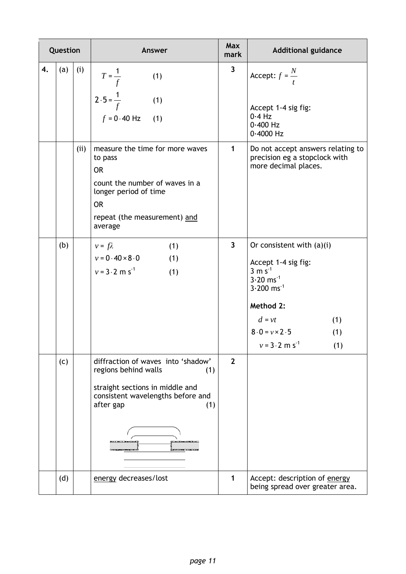| Question |     |     | Answer                                                                                                                                                                     | Max<br>mark    | <b>Additional guidance</b>                                                                                                                                                                                                             |
|----------|-----|-----|----------------------------------------------------------------------------------------------------------------------------------------------------------------------------|----------------|----------------------------------------------------------------------------------------------------------------------------------------------------------------------------------------------------------------------------------------|
| 4.       | (a) | (i) | $T=\frac{1}{f}$<br>(1)<br>$2.5 = \frac{1}{f}$<br>(1)<br>$f = 0.40$ Hz<br>(1)                                                                                               | $\mathbf{3}$   | Accept: $f = \frac{N}{t}$<br>Accept 1-4 sig fig:<br>$0.4$ Hz<br>$0.400$ Hz<br>$0.4000$ Hz                                                                                                                                              |
|          |     | (i) | measure the time for more waves<br>to pass<br><b>OR</b><br>count the number of waves in a<br>longer period of time<br><b>OR</b><br>repeat (the measurement) and<br>average | 1              | Do not accept answers relating to<br>precision eg a stopclock with<br>more decimal places.                                                                                                                                             |
|          | (b) |     | (1)<br>$v = f\lambda$<br>$v = 0.40 \times 8.0$<br>(1)<br>$v = 3.2$ m s <sup>-1</sup><br>(1)                                                                                | $\mathbf{3}$   | Or consistent with $(a)(i)$<br>Accept 1-4 sig fig:<br>$3 \text{ m s}^{-1}$<br>$3.20$ ms <sup>-1</sup><br>$3.200$ ms <sup>-1</sup><br>Method 2:<br>$d = vt$<br>(1)<br>$8.0 = v \times 2.5$<br>(1)<br>$v = 3.2$ m s <sup>-1</sup><br>(1) |
|          | (c) |     | diffraction of waves into 'shadow'<br>regions behind walls<br>(1)<br>straight sections in middle and<br>consistent wavelengths before and<br>after gap<br>(1)              | $\overline{2}$ |                                                                                                                                                                                                                                        |
|          | (d) |     | energy decreases/lost                                                                                                                                                      | 1              | Accept: description of energy<br>being spread over greater area.                                                                                                                                                                       |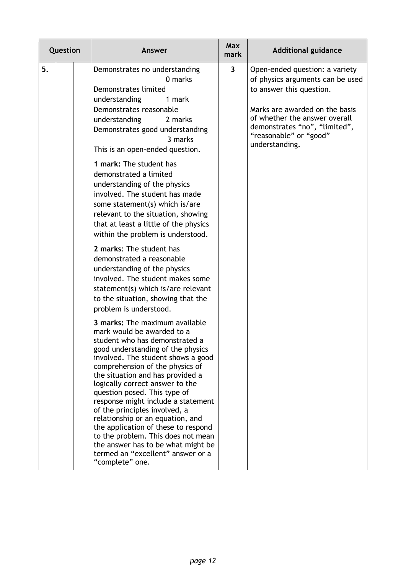| Question |  | Answer                                                                                                                                                                                                                                                                                                                                                                                                                                                                                                                                                                                                                                                                                                                                                                                                                                                                                                                                                                                                                                                                     | Max<br>mark  | <b>Additional guidance</b>                                                                                                                                                                                                                     |
|----------|--|----------------------------------------------------------------------------------------------------------------------------------------------------------------------------------------------------------------------------------------------------------------------------------------------------------------------------------------------------------------------------------------------------------------------------------------------------------------------------------------------------------------------------------------------------------------------------------------------------------------------------------------------------------------------------------------------------------------------------------------------------------------------------------------------------------------------------------------------------------------------------------------------------------------------------------------------------------------------------------------------------------------------------------------------------------------------------|--------------|------------------------------------------------------------------------------------------------------------------------------------------------------------------------------------------------------------------------------------------------|
| 5.       |  | Demonstrates no understanding<br>0 marks<br>Demonstrates limited<br>understanding<br>1 mark<br>Demonstrates reasonable<br>understanding<br>2 marks<br>Demonstrates good understanding<br>3 marks<br>This is an open-ended question.<br>1 mark: The student has<br>demonstrated a limited<br>understanding of the physics<br>involved. The student has made<br>some statement(s) which is/are<br>relevant to the situation, showing<br>that at least a little of the physics<br>within the problem is understood.<br>2 marks: The student has<br>demonstrated a reasonable<br>understanding of the physics<br>involved. The student makes some<br>statement(s) which is/are relevant<br>to the situation, showing that the<br>problem is understood.<br>3 marks: The maximum available<br>mark would be awarded to a<br>student who has demonstrated a<br>good understanding of the physics<br>involved. The student shows a good<br>comprehension of the physics of<br>the situation and has provided a<br>logically correct answer to the<br>question posed. This type of | $\mathbf{3}$ | Open-ended question: a variety<br>of physics arguments can be used<br>to answer this question.<br>Marks are awarded on the basis<br>of whether the answer overall<br>demonstrates "no", "limited",<br>"reasonable" or "good"<br>understanding. |
|          |  | response might include a statement<br>of the principles involved, a<br>relationship or an equation, and<br>the application of these to respond<br>to the problem. This does not mean<br>the answer has to be what might be<br>termed an "excellent" answer or a<br>"complete" one.                                                                                                                                                                                                                                                                                                                                                                                                                                                                                                                                                                                                                                                                                                                                                                                         |              |                                                                                                                                                                                                                                                |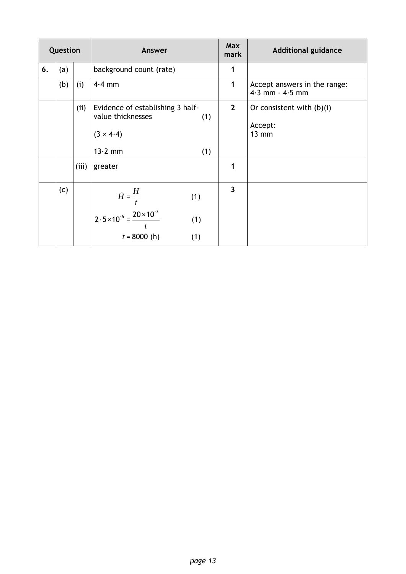| Question |     |       | Answer                                                                                                               | Max<br>mark | <b>Additional guidance</b>                                |
|----------|-----|-------|----------------------------------------------------------------------------------------------------------------------|-------------|-----------------------------------------------------------|
| 6.       | (a) |       | background count (rate)                                                                                              | 1           |                                                           |
|          | (b) | (i)   | $4.4$ mm                                                                                                             | 1           | Accept answers in the range:<br>$4.3$ mm - $4.5$ mm       |
|          |     | (ii)  | Evidence of establishing 3 half-<br>value thicknesses<br>(1)<br>$(3 \times 4.4)$<br>$13.2$ mm<br>(1)                 | $2^{\circ}$ | Or consistent with $(b)(i)$<br>Accept:<br>$13 \text{ mm}$ |
|          |     | (iii) | greater                                                                                                              | 1           |                                                           |
|          | (c) |       | $\dot{H} = \frac{H}{t}$<br>(1)<br>$2.5 \times 10^{-6} = \frac{20 \times 10^{-3}}{2}$<br>(1)<br>$t = 8000$ (h)<br>(1) | 3           |                                                           |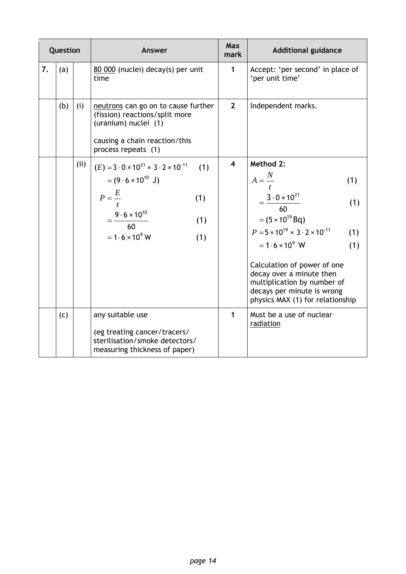| Question |     |     | Answer                                                                                                                                                                                               | Max<br>mark             | <b>Additional guidance</b>                                                                                                                                                                                                                                                                                                                                                        |
|----------|-----|-----|------------------------------------------------------------------------------------------------------------------------------------------------------------------------------------------------------|-------------------------|-----------------------------------------------------------------------------------------------------------------------------------------------------------------------------------------------------------------------------------------------------------------------------------------------------------------------------------------------------------------------------------|
| 7.       | (a) |     | 80 000 (nuclei) decay(s) per unit<br>time                                                                                                                                                            | $\mathbf{1}$            | Accept: 'per second' in place of<br>'per unit time'                                                                                                                                                                                                                                                                                                                               |
|          | (b) | (i) | neutrons can go on to cause further<br>(fission) reactions/split more<br>(uranium) nuclei (1)<br>causing a chain reaction/this<br>process repeats (1)                                                | $\overline{2}$          | Independent marks.                                                                                                                                                                                                                                                                                                                                                                |
|          |     | (i) | $(E) = 3.0 \times 10^{21} \times 3.2 \times 10^{-11}$<br>(1)<br>$= (9.6 \times 10^{10} \text{ J})$<br>$P=\frac{E}{A}$<br>(1)<br>$=\frac{9.6\times10^{10}}{60}$<br>(1)<br>$=1.6\times10^{9}$ W<br>(1) | $\overline{\mathbf{4}}$ | Method 2:<br>$A = \frac{N}{t}$<br>(1)<br>$=\frac{3\cdot 0\times 10^{21}}{60}$<br>(1)<br>$= (5 \times 10^{19}$ Bq)<br>$P = 5 \times 10^{19} \times 3 \cdot 2 \times 10^{-11}$<br>(1)<br>$= 1.6 \times 10^{9}$ W<br>(1)<br>Calculation of power of one<br>decay over a minute then<br>multiplication by number of<br>decays per minute is wrong<br>physics MAX (1) for relationship |
|          | (c) |     | any suitable use<br>(eg treating cancer/tracers/<br>sterilisation/smoke detectors/<br>measuring thickness of paper)                                                                                  | 1                       | Must be a use of nuclear<br>radiation                                                                                                                                                                                                                                                                                                                                             |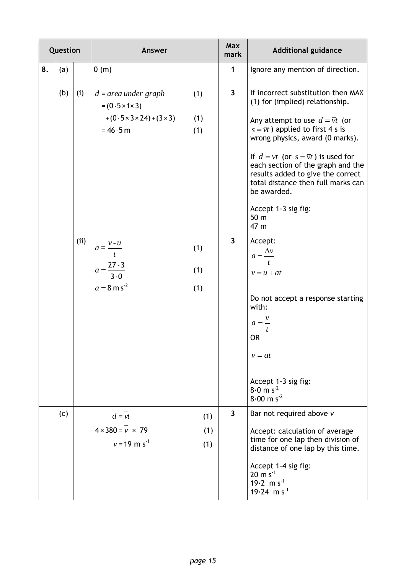| Question |     |      | Answer                                                                                                          |                   | <b>Max</b><br>mark | <b>Additional guidance</b>                                                                                                                                                                                                                                                                                                                                                                                                                               |
|----------|-----|------|-----------------------------------------------------------------------------------------------------------------|-------------------|--------------------|----------------------------------------------------------------------------------------------------------------------------------------------------------------------------------------------------------------------------------------------------------------------------------------------------------------------------------------------------------------------------------------------------------------------------------------------------------|
| 8.       | (a) |      | 0(m)                                                                                                            |                   | 1                  | Ignore any mention of direction.                                                                                                                                                                                                                                                                                                                                                                                                                         |
|          | (b) | (i)  | $d$ = area under graph<br>$= (0.5 \times 1 \times 3)$<br>$+(0.5 \times 3 \times 24)+(3 \times 3)$<br>$= 46.5 m$ | (1)<br>(1)<br>(1) | $\mathbf{3}$       | If incorrect substitution then MAX<br>(1) for (implied) relationship.<br>Any attempt to use $d = \overline{v}t$ (or<br>$s = \overline{vt}$ ) applied to first 4 s is<br>wrong physics, award (0 marks).<br>If $d = \overline{v}t$ (or $s = \overline{v}t$ ) is used for<br>each section of the graph and the<br>results added to give the correct<br>total distance then full marks can<br>be awarded.<br>Accept 1-3 sig fig:<br>50 <sub>m</sub><br>47 m |
|          |     | (ii) | $a = \frac{v \cdot u}{t}$<br>$a = \frac{27-3}{3\cdot 0}$<br>$a = 8 \text{ m s}^{-2}$                            | (1)<br>(1)<br>(1) | 3                  | Accept:<br>$a = \frac{\Delta v}{\Delta}$<br>$\mathbf{f}$<br>$v = u + at$<br>Do not accept a response starting<br>with:<br>$a=\frac{v}{x}$<br>t<br><b>OR</b><br>$v = at$<br>Accept 1-3 sig fig:<br>$8.0 \text{ m s}^{-2}$<br>$8.00 \text{ m s}^{-2}$                                                                                                                                                                                                      |
|          | (c) |      | $d = vt$<br>$4 \times 380 = v \times 79$<br>$\bar{v}$ = 19 m s <sup>-1</sup>                                    | (1)<br>(1)<br>(1) | 3                  | Bar not required above v<br>Accept: calculation of average<br>time for one lap then division of<br>distance of one lap by this time.<br>Accept 1-4 sig fig:<br>$20 \text{ m s}^{-1}$<br>19.2 m $s^{-1}$<br>$19.24 \text{ m s}^{-1}$                                                                                                                                                                                                                      |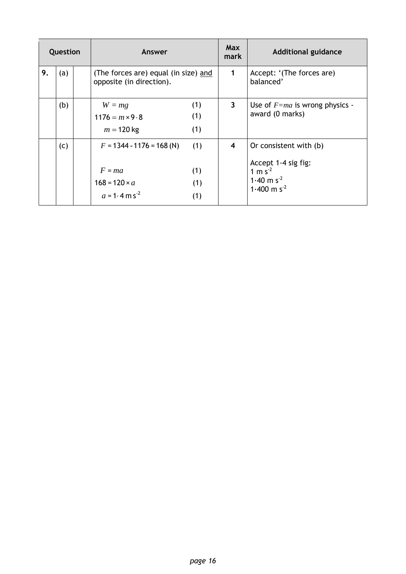| Question |     |  | Answer                                                                                         |                          | <b>Max</b><br>mark | <b>Additional guidance</b>                                                                                      |
|----------|-----|--|------------------------------------------------------------------------------------------------|--------------------------|--------------------|-----------------------------------------------------------------------------------------------------------------|
| 9.       | (a) |  | (The forces are) equal (in size) and<br>opposite (in direction).                               |                          | 1                  | Accept: '(The forces are)<br>balanced'                                                                          |
|          | (b) |  | $W = mg$<br>$1176 = m \times 9.8$<br>$m = 120$ kg                                              | (1)<br>(1)<br>(1)        | $\mathbf{3}$       | Use of $F=ma$ is wrong physics -<br>award (0 marks)                                                             |
|          | (c) |  | $F = 1344 - 1176 = 168$ (N)<br>$F = ma$<br>$168 = 120 \times a$<br>$a = 1.4$ m s <sup>-2</sup> | (1)<br>(1)<br>(1)<br>(1) | 4                  | Or consistent with (b)<br>Accept 1-4 sig fig:<br>1 m $s^2$<br>1.40 m s <sup>-2</sup><br>1.400 m s <sup>-2</sup> |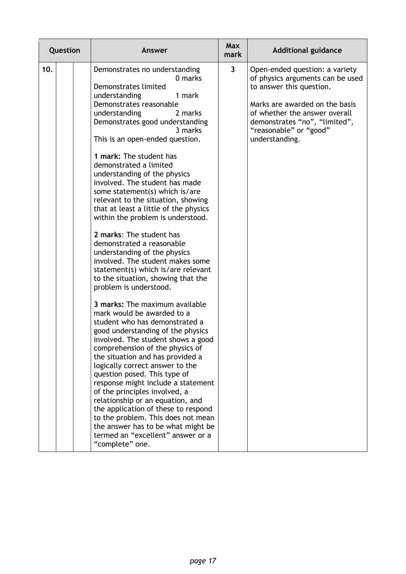| Question | Answer                                                                                                                                                                                                                                                                                                                                                                                                                                                                                                                                                                                                                                                                                                                                                                                                                                                                                                                                                                                                                                                                                                                                                                                                                                                                                                                                                           | Max<br>mark             | <b>Additional guidance</b>                                                                                                                                                                                                                     |
|----------|------------------------------------------------------------------------------------------------------------------------------------------------------------------------------------------------------------------------------------------------------------------------------------------------------------------------------------------------------------------------------------------------------------------------------------------------------------------------------------------------------------------------------------------------------------------------------------------------------------------------------------------------------------------------------------------------------------------------------------------------------------------------------------------------------------------------------------------------------------------------------------------------------------------------------------------------------------------------------------------------------------------------------------------------------------------------------------------------------------------------------------------------------------------------------------------------------------------------------------------------------------------------------------------------------------------------------------------------------------------|-------------------------|------------------------------------------------------------------------------------------------------------------------------------------------------------------------------------------------------------------------------------------------|
| 10.      | Demonstrates no understanding<br>0 marks<br>Demonstrates limited<br>understanding<br>1 mark<br>Demonstrates reasonable<br>understanding<br>2 marks<br>Demonstrates good understanding<br>3 marks<br>This is an open-ended question.<br>1 mark: The student has<br>demonstrated a limited<br>understanding of the physics<br>involved. The student has made<br>some statement(s) which is/are<br>relevant to the situation, showing<br>that at least a little of the physics<br>within the problem is understood.<br>2 marks: The student has<br>demonstrated a reasonable<br>understanding of the physics<br>involved. The student makes some<br>statement(s) which is/are relevant<br>to the situation, showing that the<br>problem is understood.<br>3 marks: The maximum available<br>mark would be awarded to a<br>student who has demonstrated a<br>good understanding of the physics<br>involved. The student shows a good<br>comprehension of the physics of<br>the situation and has provided a<br>logically correct answer to the<br>question posed. This type of<br>response might include a statement<br>of the principles involved, a<br>relationship or an equation, and<br>the application of these to respond<br>to the problem. This does not mean<br>the answer has to be what might be<br>termed an "excellent" answer or a<br>"complete" one. | $\overline{\mathbf{3}}$ | Open-ended question: a variety<br>of physics arguments can be used<br>to answer this question.<br>Marks are awarded on the basis<br>of whether the answer overall<br>demonstrates "no", "limited",<br>"reasonable" or "good"<br>understanding. |